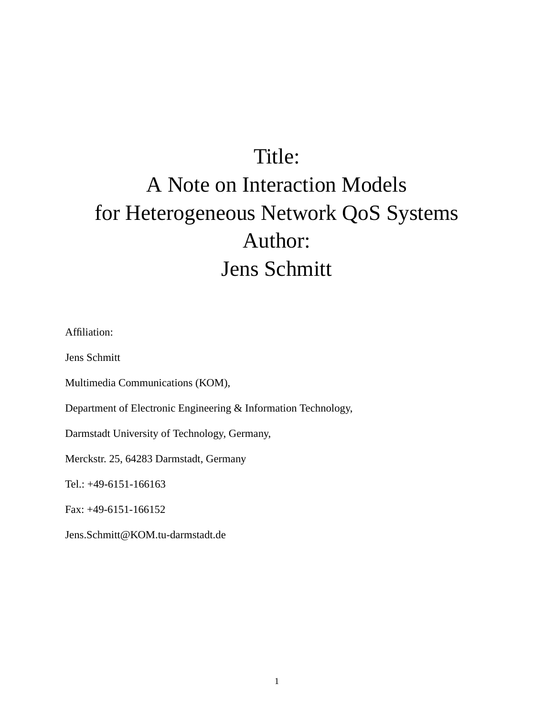# Title: A Note on Interaction Models for Heterogeneous Network QoS Systems Author: Jens Schmitt

Affiliation:

Jens Schmitt

Multimedia Communications (KOM),

Department of Electronic Engineering & Information Technology,

Darmstadt University of Technology, Germany,

Merckstr. 25, 64283 Darmstadt, Germany

Tel.: +49-6151-166163

Fax: +49-6151-166152

Jens.Schmitt@KOM.tu-darmstadt.de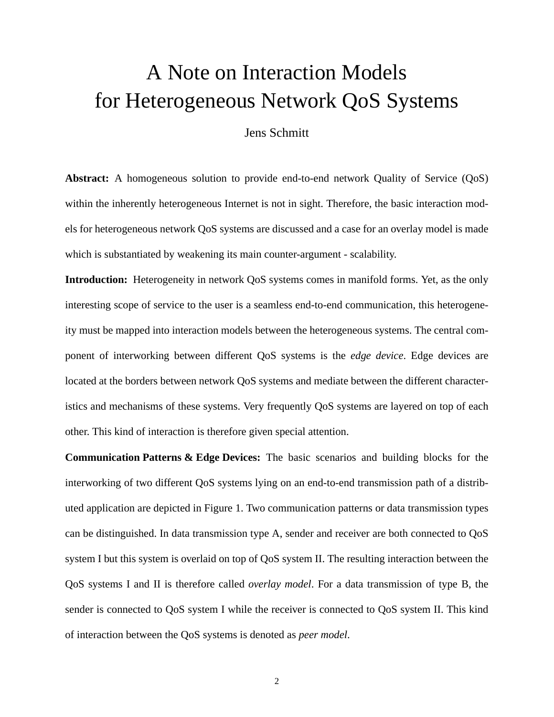## A Note on Interaction Models for Heterogeneous Network QoS Systems

#### Jens Schmitt

Abstract: A homogeneous solution to provide end-to-end network Quality of Service (QoS) within the inherently heterogeneous Internet is not in sight. Therefore, the basic interaction models for heterogeneous network QoS systems are discussed and a case for an overlay model is made which is substantiated by weakening its main counter-argument - scalability.

**Introduction:** Heterogeneity in network QoS systems comes in manifold forms. Yet, as the only interesting scope of service to the user is a seamless end-to-end communication, this heterogeneity must be mapped into interaction models between the heterogeneous systems. The central component of interworking between different QoS systems is the *edge device*. Edge devices are located at the borders between network QoS systems and mediate between the different characteristics and mechanisms of these systems. Very frequently QoS systems are layered on top of each other. This kind of interaction is therefore given special attention.

**Communication Patterns & Edge Devices:** The basic scenarios and building blocks for the interworking of two different QoS systems lying on an end-to-end transmission path of a distributed application are depicted in [Figure 1](#page-7-0). Two communication patterns or data transmission types can be distinguished. In data transmission type A, sender and receiver are both connected to QoS system I but this system is overlaid on top of QoS system II. The resulting interaction between the QoS systems I and II is therefore called *overlay model*. For a data transmission of type B, the sender is connected to QoS system I while the receiver is connected to QoS system II. This kind of interaction between the QoS systems is denoted as *peer model*.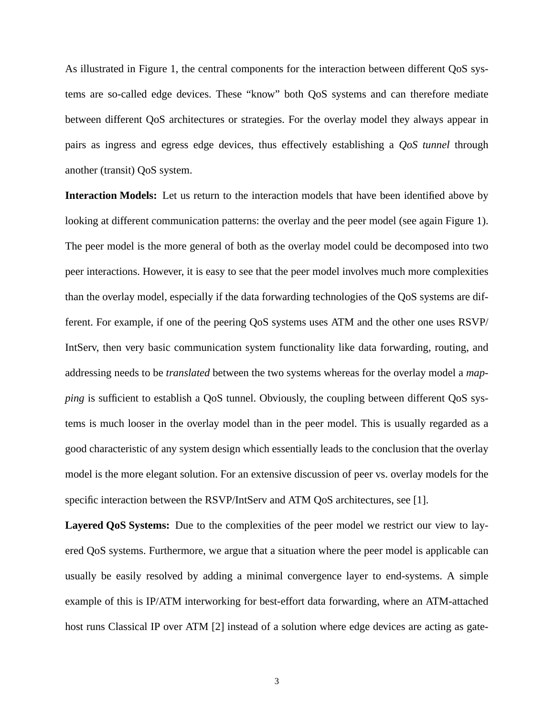As illustrated in [Figure 1,](#page-7-0) the central components for the interaction between different QoS systems are so-called edge devices. These "know" both QoS systems and can therefore mediate between different QoS architectures or strategies. For the overlay model they always appear in pairs as ingress and egress edge devices, thus effectively establishing a *QoS tunnel* through another (transit) QoS system.

**Interaction Models:** Let us return to the interaction models that have been identified above by looking at different communication patterns: the overlay and the peer model (see again [Figure 1](#page-7-0)). The peer model is the more general of both as the overlay model could be decomposed into two peer interactions. However, it is easy to see that the peer model involves much more complexities than the overlay model, especially if the data forwarding technologies of the QoS systems are different. For example, if one of the peering QoS systems uses ATM and the other one uses RSVP/ IntServ, then very basic communication system functionality like data forwarding, routing, and addressing needs to be *translated* between the two systems whereas for the overlay model a *mapping* is sufficient to establish a QoS tunnel. Obviously, the coupling between different QoS systems is much looser in the overlay model than in the peer model. This is usually regarded as a good characteristic of any system design which essentially leads to the conclusion that the overlay model is the more elegant solution. For an extensive discussion of peer vs. overlay models for the specific interaction between the RSVP/IntServ and ATM QoS architectures, see [1].

**Layered QoS Systems:** Due to the complexities of the peer model we restrict our view to layered QoS systems. Furthermore, we argue that a situation where the peer model is applicable can usually be easily resolved by adding a minimal convergence layer to end-systems. A simple example of this is IP/ATM interworking for best-effort data forwarding, where an ATM-attached host runs Classical IP over ATM [2] instead of a solution where edge devices are acting as gate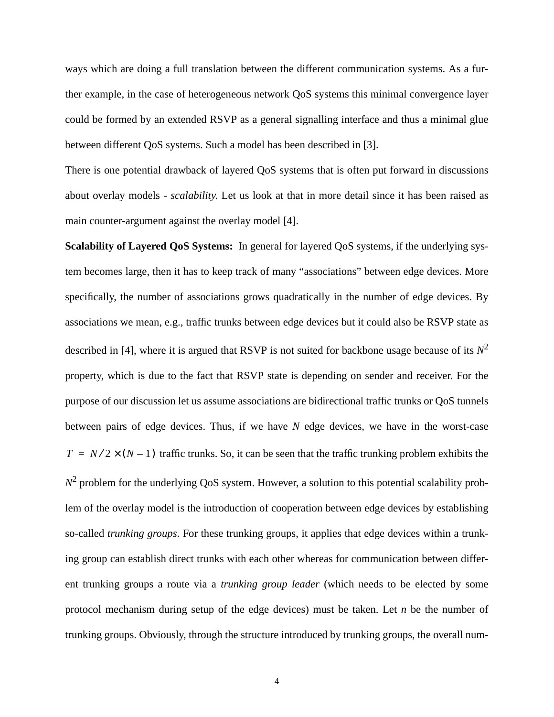ways which are doing a full translation between the different communication systems. As a further example, in the case of heterogeneous network QoS systems this minimal convergence layer could be formed by an extended RSVP as a general signalling interface and thus a minimal glue between different QoS systems. Such a model has been described in [3].

There is one potential drawback of layered QoS systems that is often put forward in discussions about overlay models - *scalability*. Let us look at that in more detail since it has been raised as main counter-argument against the overlay model [4].

**Scalability of Layered QoS Systems:** In general for layered QoS systems, if the underlying system becomes large, then it has to keep track of many "associations" between edge devices. More specifically, the number of associations grows quadratically in the number of edge devices. By associations we mean, e.g., traffic trunks between edge devices but it could also be RSVP state as described in [4], where it is argued that RSVP is not suited for backbone usage because of its  $N^2$ property, which is due to the fact that RSVP state is depending on sender and receiver. For the purpose of our discussion let us assume associations are bidirectional traffic trunks or QoS tunnels between pairs of edge devices. Thus, if we have *N* edge devices, we have in the worst-case  $T = N/2 \times (N-1)$  traffic trunks. So, it can be seen that the traffic trunking problem exhibits the  $N^2$  problem for the underlying QoS system. However, a solution to this potential scalability problem of the overlay model is the introduction of cooperation between edge devices by establishing so-called *trunking groups*. For these trunking groups, it applies that edge devices within a trunking group can establish direct trunks with each other whereas for communication between different trunking groups a route via a *trunking group leader* (which needs to be elected by some protocol mechanism during setup of the edge devices) must be taken. Let *n* be the number of trunking groups. Obviously, through the structure introduced by trunking groups, the overall num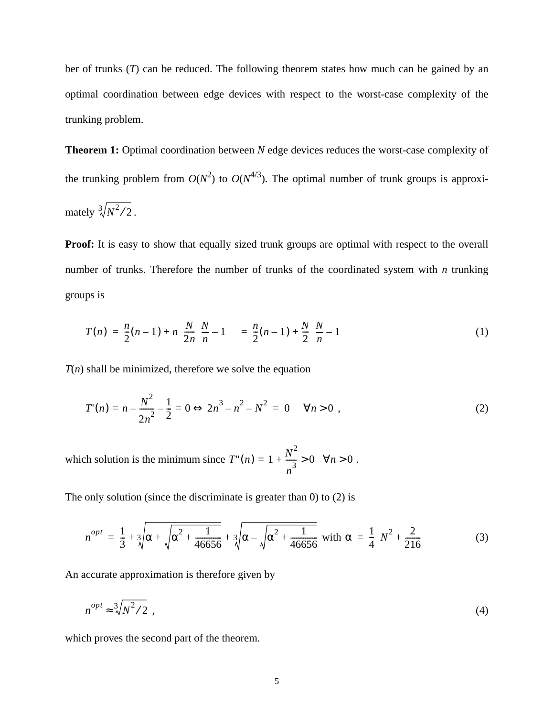ber of trunks (*T*) can be reduced. The following theorem states how much can be gained by an optimal coordination between edge devices with respect to the worst-case complexity of the trunking problem.

**Theorem 1:** Optimal coordination between *N* edge devices reduces the worst-case complexity of the trunking problem from  $O(N^2)$  to  $O(N^{4/3})$ . The optimal number of trunk groups is approximately  $\sqrt[3]{N^2/2}$ .

**Proof:** It is easy to show that equally sized trunk groups are optimal with respect to the overall number of trunks. Therefore the number of trunks of the coordinated system with *n* trunking groups is

$$
T(n) = \frac{n}{2}(n-1) + n\left(\frac{N}{2n}\left(\frac{N}{n}-1\right)\right) = \frac{n}{2}(n-1) + \frac{N}{2}\left(\frac{N}{n}-1\right)
$$
(1)

 $T(n)$  shall be minimized, therefore we solve the equation

$$
T'(n) = n - \frac{N^2}{2n^2} - \frac{1}{2} = 0 \Leftrightarrow 2n^3 - n^2 - N^2 = 0 \quad \forall n > 0,
$$
 (2)

which solution is the minimum since  $T''(n) = 1 + \frac{N^2}{2} > 0 \quad \forall n > 0$ .  $= 1 + \frac{N}{n^3} > 0 \quad \forall n > 0$ 

The only solution (since the discriminate is greater than 0) to (2) is

$$
n^{opt} = \frac{1}{3} + \sqrt[3]{\alpha + \sqrt{\alpha^2 + \frac{1}{46656}} + \sqrt[3]{\alpha - \sqrt{\alpha^2 + \frac{1}{46656}}}} \text{ with } \alpha = \frac{1}{4} \left( N^2 + \frac{2}{216} \right) \tag{3}
$$

An accurate approximation is therefore given by

$$
n^{opt} \approx \sqrt[3]{N^2/2} \tag{4}
$$

which proves the second part of the theorem.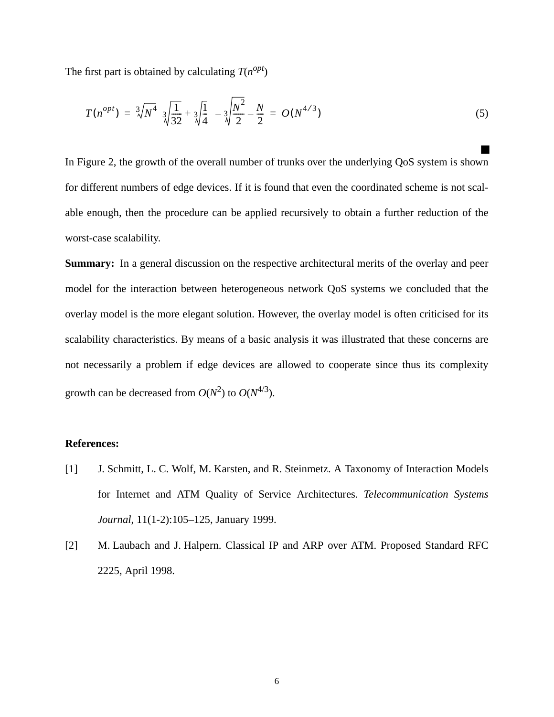The first part is obtained by calculating  $T(n^{opt})$ 

$$
T(n^{opt}) = \sqrt[3]{N^4} \left( \sqrt[3]{\frac{1}{32}} + \sqrt[3]{\frac{1}{4}} \right) - \sqrt[3]{\frac{N^2}{2}} - \frac{N}{2} = O(N^{4/3})
$$
\n(5)

■

In [Figure 2,](#page-8-0) the growth of the overall number of trunks over the underlying QoS system is shown for different numbers of edge devices. If it is found that even the coordinated scheme is not scalable enough, then the procedure can be applied recursively to obtain a further reduction of the worst-case scalability.

**Summary:** In a general discussion on the respective architectural merits of the overlay and peer model for the interaction between heterogeneous network QoS systems we concluded that the overlay model is the more elegant solution. However, the overlay model is often criticised for its scalability characteristics. By means of a basic analysis it was illustrated that these concerns are not necessarily a problem if edge devices are allowed to cooperate since thus its complexity growth can be decreased from  $O(N^2)$  to  $O(N^{4/3})$ .

#### **References:**

- [1] J. Schmitt, L. C. Wolf, M. Karsten, and R. Steinmetz. A Taxonomy of Interaction Models for Internet and ATM Quality of Service Architectures. *Telecommunication Systems Journal*, 11(1-2):105–125, January 1999.
- [2] M. Laubach and J. Halpern. Classical IP and ARP over ATM. Proposed Standard RFC 2225, April 1998.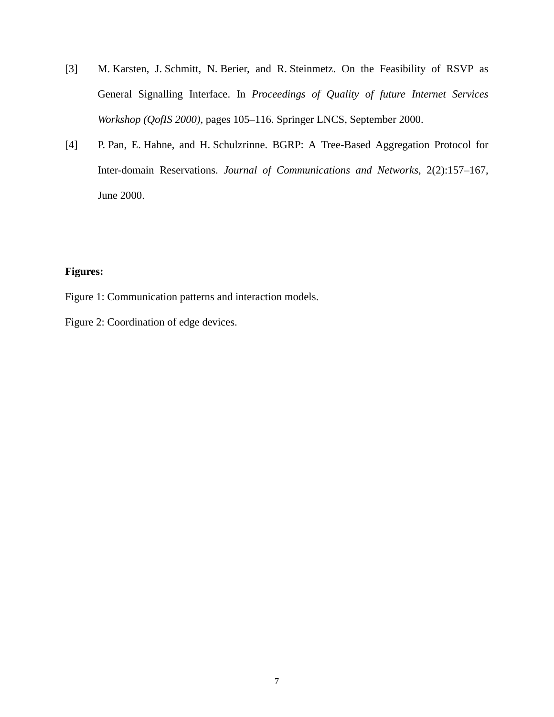- [3] M. Karsten, J. Schmitt, N. Berier, and R. Steinmetz. On the Feasibility of RSVP as General Signalling Interface. In *Proceedings of Quality of future Internet Services Workshop (QofIS 2000),* pages 105–116. Springer LNCS, September 2000.
- [4] P. Pan, E. Hahne, and H. Schulzrinne. BGRP: A Tree-Based Aggregation Protocol for Inter-domain Reservations. *Journal of Communications and Networks*, 2(2):157–167, June 2000.

### **Figures:**

- Figure 1: Communication patterns and interaction models.
- Figure 2: Coordination of edge devices.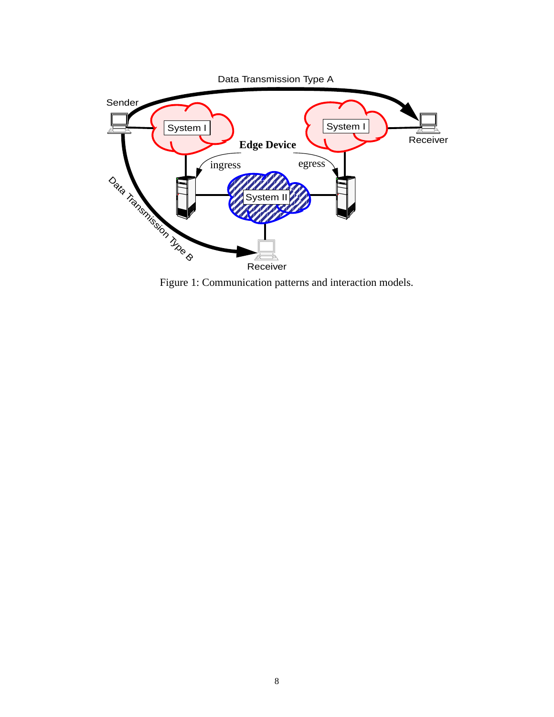<span id="page-7-0"></span>

Figure 1: Communication patterns and interaction models.